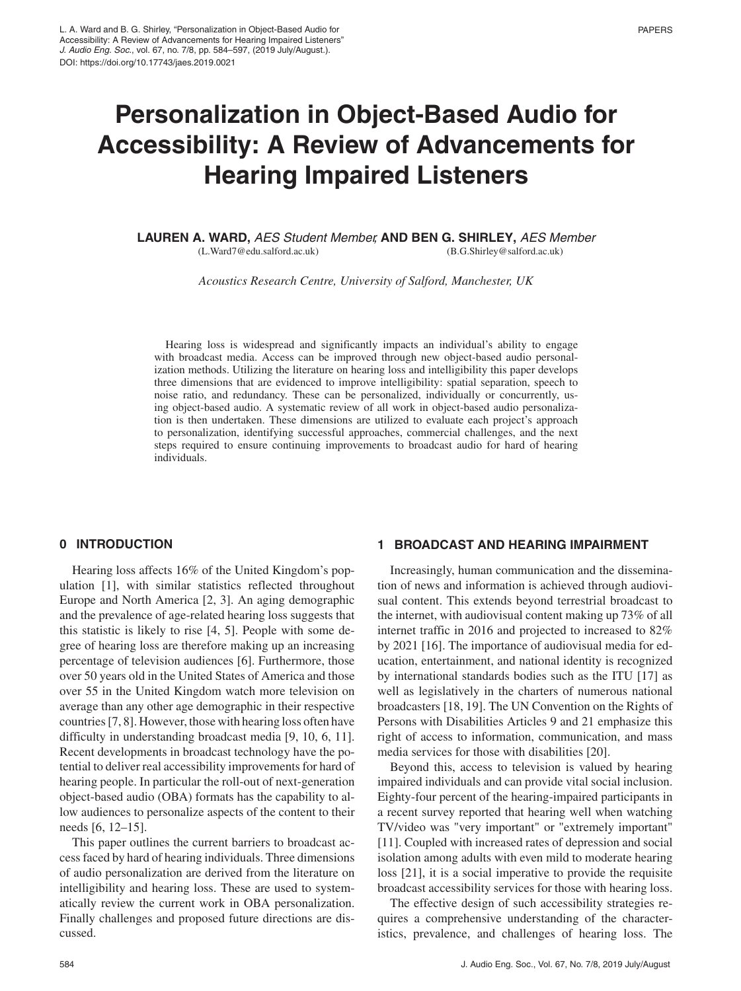# **Personalization in Object-Based Audio for Accessibility: A Review of Advancements for Hearing Impaired Listeners**

#### **LAUREN A. WARD,** AES Student Member , **AND BEN G. SHIRLEY,** AES Member (L.Ward7@edu.salford.ac.uk) (B.G.Shirley@salford.ac.uk)

*Acoustics Research Centre, University of Salford, Manchester, UK*

Hearing loss is widespread and significantly impacts an individual's ability to engage with broadcast media. Access can be improved through new object-based audio personalization methods. Utilizing the literature on hearing loss and intelligibility this paper develops three dimensions that are evidenced to improve intelligibility: spatial separation, speech to noise ratio, and redundancy. These can be personalized, individually or concurrently, using object-based audio. A systematic review of all work in object-based audio personalization is then undertaken. These dimensions are utilized to evaluate each project's approach to personalization, identifying successful approaches, commercial challenges, and the next steps required to ensure continuing improvements to broadcast audio for hard of hearing individuals.

#### **0 INTRODUCTION**

Hearing loss affects 16% of the United Kingdom's population [1], with similar statistics reflected throughout Europe and North America [2, 3]. An aging demographic and the prevalence of age-related hearing loss suggests that this statistic is likely to rise [4, 5]. People with some degree of hearing loss are therefore making up an increasing percentage of television audiences [6]. Furthermore, those over 50 years old in the United States of America and those over 55 in the United Kingdom watch more television on average than any other age demographic in their respective countries [7, 8]. However, those with hearing loss often have difficulty in understanding broadcast media [9, 10, 6, 11]. Recent developments in broadcast technology have the potential to deliver real accessibility improvements for hard of hearing people. In particular the roll-out of next-generation object-based audio (OBA) formats has the capability to allow audiences to personalize aspects of the content to their needs [6, 12–15].

This paper outlines the current barriers to broadcast access faced by hard of hearing individuals. Three dimensions of audio personalization are derived from the literature on intelligibility and hearing loss. These are used to systematically review the current work in OBA personalization. Finally challenges and proposed future directions are discussed.

#### **1 BROADCAST AND HEARING IMPAIRMENT**

Increasingly, human communication and the dissemination of news and information is achieved through audiovisual content. This extends beyond terrestrial broadcast to the internet, with audiovisual content making up 73% of all internet traffic in 2016 and projected to increased to 82% by 2021 [16]. The importance of audiovisual media for education, entertainment, and national identity is recognized by international standards bodies such as the ITU [17] as well as legislatively in the charters of numerous national broadcasters [18, 19]. The UN Convention on the Rights of Persons with Disabilities Articles 9 and 21 emphasize this right of access to information, communication, and mass media services for those with disabilities [20].

Beyond this, access to television is valued by hearing impaired individuals and can provide vital social inclusion. Eighty-four percent of the hearing-impaired participants in a recent survey reported that hearing well when watching TV/video was "very important" or "extremely important" [11]. Coupled with increased rates of depression and social isolation among adults with even mild to moderate hearing loss [21], it is a social imperative to provide the requisite broadcast accessibility services for those with hearing loss.

The effective design of such accessibility strategies requires a comprehensive understanding of the characteristics, prevalence, and challenges of hearing loss. The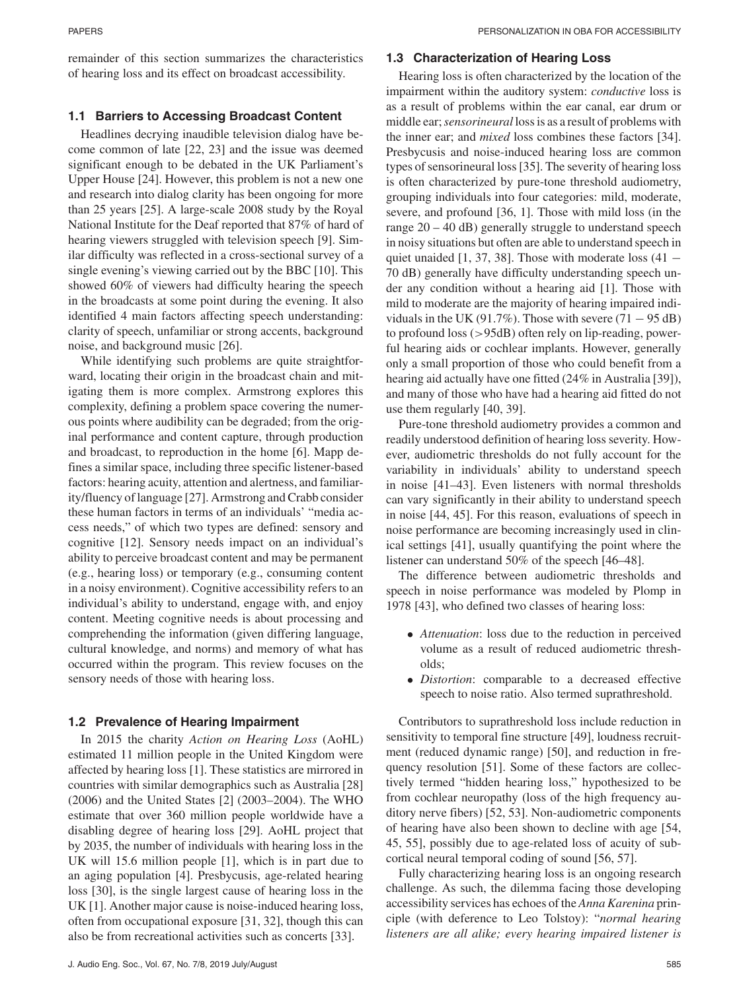remainder of this section summarizes the characteristics of hearing loss and its effect on broadcast accessibility.

# **1.1 Barriers to Accessing Broadcast Content**

Headlines decrying inaudible television dialog have become common of late [22, 23] and the issue was deemed significant enough to be debated in the UK Parliament's Upper House [24]. However, this problem is not a new one and research into dialog clarity has been ongoing for more than 25 years [25]. A large-scale 2008 study by the Royal National Institute for the Deaf reported that 87% of hard of hearing viewers struggled with television speech [9]. Similar difficulty was reflected in a cross-sectional survey of a single evening's viewing carried out by the BBC [10]. This showed 60% of viewers had difficulty hearing the speech in the broadcasts at some point during the evening. It also identified 4 main factors affecting speech understanding: clarity of speech, unfamiliar or strong accents, background noise, and background music [26].

While identifying such problems are quite straightforward, locating their origin in the broadcast chain and mitigating them is more complex. Armstrong explores this complexity, defining a problem space covering the numerous points where audibility can be degraded; from the original performance and content capture, through production and broadcast, to reproduction in the home [6]. Mapp defines a similar space, including three specific listener-based factors: hearing acuity, attention and alertness, and familiarity/fluency of language [27]. Armstrong and Crabb consider these human factors in terms of an individuals' "media access needs," of which two types are defined: sensory and cognitive [12]. Sensory needs impact on an individual's ability to perceive broadcast content and may be permanent (e.g., hearing loss) or temporary (e.g., consuming content in a noisy environment). Cognitive accessibility refers to an individual's ability to understand, engage with, and enjoy content. Meeting cognitive needs is about processing and comprehending the information (given differing language, cultural knowledge, and norms) and memory of what has occurred within the program. This review focuses on the sensory needs of those with hearing loss.

#### **1.2 Prevalence of Hearing Impairment**

In 2015 the charity *Action on Hearing Loss* (AoHL) estimated 11 million people in the United Kingdom were affected by hearing loss [1]. These statistics are mirrored in countries with similar demographics such as Australia [28] (2006) and the United States [2] (2003–2004). The WHO estimate that over 360 million people worldwide have a disabling degree of hearing loss [29]. AoHL project that by 2035, the number of individuals with hearing loss in the UK will 15.6 million people [1], which is in part due to an aging population [4]. Presbycusis, age-related hearing loss [30], is the single largest cause of hearing loss in the UK [1]. Another major cause is noise-induced hearing loss, often from occupational exposure [31, 32], though this can also be from recreational activities such as concerts [33].

# **1.3 Characterization of Hearing Loss**

Hearing loss is often characterized by the location of the impairment within the auditory system: *conductive* loss is as a result of problems within the ear canal, ear drum or middle ear;*sensorineural* loss is as a result of problems with the inner ear; and *mixed* loss combines these factors [34]. Presbycusis and noise-induced hearing loss are common types of sensorineural loss [35]. The severity of hearing loss is often characterized by pure-tone threshold audiometry, grouping individuals into four categories: mild, moderate, severe, and profound [36, 1]. Those with mild loss (in the range 20 – 40 dB) generally struggle to understand speech in noisy situations but often are able to understand speech in quiet unaided  $[1, 37, 38]$ . Those with moderate loss  $(41 -$ 70 dB) generally have difficulty understanding speech under any condition without a hearing aid [1]. Those with mild to moderate are the majority of hearing impaired individuals in the UK (91.7%). Those with severe  $(71 - 95 \text{ dB})$ to profound loss (>95dB) often rely on lip-reading, powerful hearing aids or cochlear implants. However, generally only a small proportion of those who could benefit from a hearing aid actually have one fitted (24% in Australia [39]), and many of those who have had a hearing aid fitted do not use them regularly [40, 39].

Pure-tone threshold audiometry provides a common and readily understood definition of hearing loss severity. However, audiometric thresholds do not fully account for the variability in individuals' ability to understand speech in noise [41–43]. Even listeners with normal thresholds can vary significantly in their ability to understand speech in noise [44, 45]. For this reason, evaluations of speech in noise performance are becoming increasingly used in clinical settings [41], usually quantifying the point where the listener can understand 50% of the speech [46–48].

The difference between audiometric thresholds and speech in noise performance was modeled by Plomp in 1978 [43], who defined two classes of hearing loss:

- *Attenuation*: loss due to the reduction in perceived volume as a result of reduced audiometric thresholds;
- *Distortion*: comparable to a decreased effective speech to noise ratio. Also termed suprathreshold.

Contributors to suprathreshold loss include reduction in sensitivity to temporal fine structure [49], loudness recruitment (reduced dynamic range) [50], and reduction in frequency resolution [51]. Some of these factors are collectively termed "hidden hearing loss," hypothesized to be from cochlear neuropathy (loss of the high frequency auditory nerve fibers) [52, 53]. Non-audiometric components of hearing have also been shown to decline with age [54, 45, 55], possibly due to age-related loss of acuity of subcortical neural temporal coding of sound [56, 57].

Fully characterizing hearing loss is an ongoing research challenge. As such, the dilemma facing those developing accessibility services has echoes of the *Anna Karenina* principle (with deference to Leo Tolstoy): "*normal hearing listeners are all alike; every hearing impaired listener is*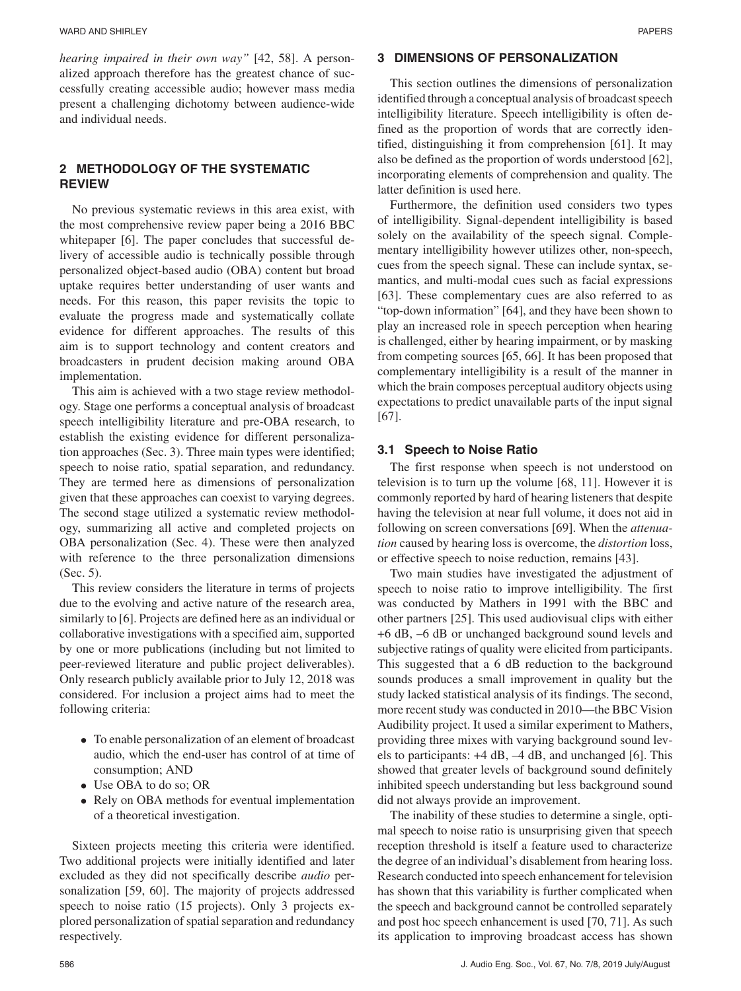*hearing impaired in their own way"* [42, 58]. A personalized approach therefore has the greatest chance of successfully creating accessible audio; however mass media present a challenging dichotomy between audience-wide and individual needs.

# **2 METHODOLOGY OF THE SYSTEMATIC REVIEW**

No previous systematic reviews in this area exist, with the most comprehensive review paper being a 2016 BBC whitepaper [6]. The paper concludes that successful delivery of accessible audio is technically possible through personalized object-based audio (OBA) content but broad uptake requires better understanding of user wants and needs. For this reason, this paper revisits the topic to evaluate the progress made and systematically collate evidence for different approaches. The results of this aim is to support technology and content creators and broadcasters in prudent decision making around OBA implementation.

This aim is achieved with a two stage review methodology. Stage one performs a conceptual analysis of broadcast speech intelligibility literature and pre-OBA research, to establish the existing evidence for different personalization approaches (Sec. 3). Three main types were identified; speech to noise ratio, spatial separation, and redundancy. They are termed here as dimensions of personalization given that these approaches can coexist to varying degrees. The second stage utilized a systematic review methodology, summarizing all active and completed projects on OBA personalization (Sec. 4). These were then analyzed with reference to the three personalization dimensions (Sec. 5).

This review considers the literature in terms of projects due to the evolving and active nature of the research area, similarly to [6]. Projects are defined here as an individual or collaborative investigations with a specified aim, supported by one or more publications (including but not limited to peer-reviewed literature and public project deliverables). Only research publicly available prior to July 12, 2018 was considered. For inclusion a project aims had to meet the following criteria:

- To enable personalization of an element of broadcast audio, which the end-user has control of at time of consumption; AND
- Use OBA to do so; OR
- Rely on OBA methods for eventual implementation of a theoretical investigation.

Sixteen projects meeting this criteria were identified. Two additional projects were initially identified and later excluded as they did not specifically describe *audio* personalization [59, 60]. The majority of projects addressed speech to noise ratio (15 projects). Only 3 projects explored personalization of spatial separation and redundancy respectively.

# **3 DIMENSIONS OF PERSONALIZATION**

This section outlines the dimensions of personalization identified through a conceptual analysis of broadcast speech intelligibility literature. Speech intelligibility is often defined as the proportion of words that are correctly identified, distinguishing it from comprehension [61]. It may also be defined as the proportion of words understood [62], incorporating elements of comprehension and quality. The latter definition is used here.

Furthermore, the definition used considers two types of intelligibility. Signal-dependent intelligibility is based solely on the availability of the speech signal. Complementary intelligibility however utilizes other, non-speech, cues from the speech signal. These can include syntax, semantics, and multi-modal cues such as facial expressions [63]. These complementary cues are also referred to as "top-down information" [64], and they have been shown to play an increased role in speech perception when hearing is challenged, either by hearing impairment, or by masking from competing sources [65, 66]. It has been proposed that complementary intelligibility is a result of the manner in which the brain composes perceptual auditory objects using expectations to predict unavailable parts of the input signal [67].

#### **3.1 Speech to Noise Ratio**

The first response when speech is not understood on television is to turn up the volume [68, 11]. However it is commonly reported by hard of hearing listeners that despite having the television at near full volume, it does not aid in following on screen conversations [69]. When the *attenuation* caused by hearing loss is overcome, the *distortion* loss, or effective speech to noise reduction, remains [43].

Two main studies have investigated the adjustment of speech to noise ratio to improve intelligibility. The first was conducted by Mathers in 1991 with the BBC and other partners [25]. This used audiovisual clips with either +6 dB, –6 dB or unchanged background sound levels and subjective ratings of quality were elicited from participants. This suggested that a 6 dB reduction to the background sounds produces a small improvement in quality but the study lacked statistical analysis of its findings. The second, more recent study was conducted in 2010—the BBC Vision Audibility project. It used a similar experiment to Mathers, providing three mixes with varying background sound levels to participants: +4 dB, –4 dB, and unchanged [6]. This showed that greater levels of background sound definitely inhibited speech understanding but less background sound did not always provide an improvement.

The inability of these studies to determine a single, optimal speech to noise ratio is unsurprising given that speech reception threshold is itself a feature used to characterize the degree of an individual's disablement from hearing loss. Research conducted into speech enhancement for television has shown that this variability is further complicated when the speech and background cannot be controlled separately and post hoc speech enhancement is used [70, 71]. As such its application to improving broadcast access has shown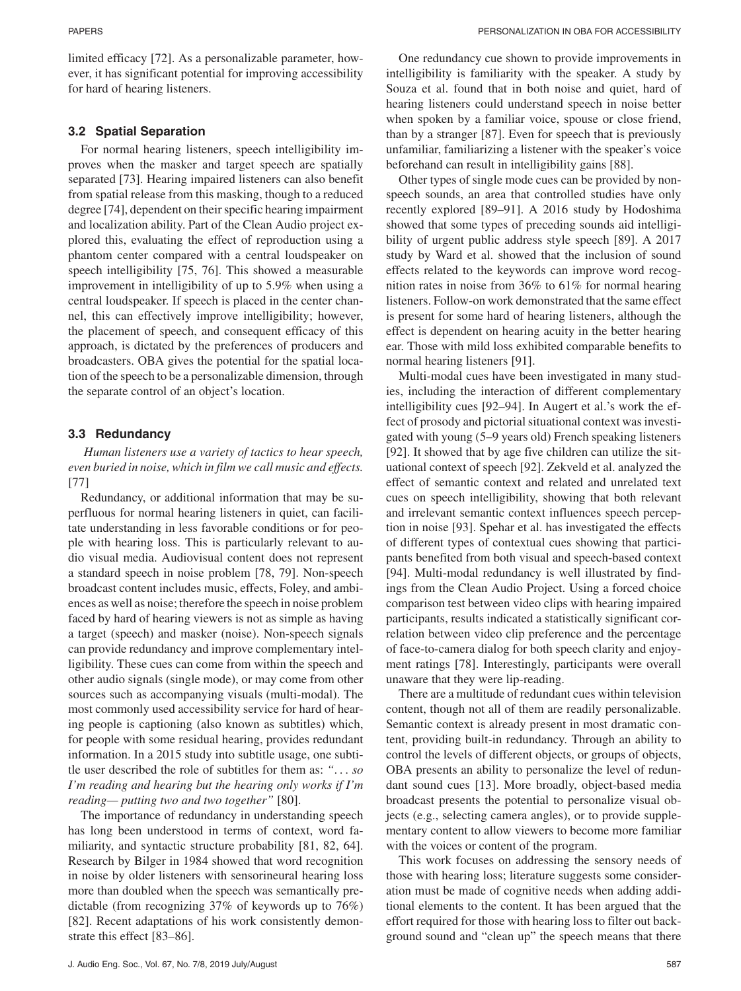limited efficacy [72]. As a personalizable parameter, however, it has significant potential for improving accessibility for hard of hearing listeners.

#### **3.2 Spatial Separation**

For normal hearing listeners, speech intelligibility improves when the masker and target speech are spatially separated [73]. Hearing impaired listeners can also benefit from spatial release from this masking, though to a reduced degree [74], dependent on their specific hearing impairment and localization ability. Part of the Clean Audio project explored this, evaluating the effect of reproduction using a phantom center compared with a central loudspeaker on speech intelligibility [75, 76]. This showed a measurable improvement in intelligibility of up to 5.9% when using a central loudspeaker. If speech is placed in the center channel, this can effectively improve intelligibility; however, the placement of speech, and consequent efficacy of this approach, is dictated by the preferences of producers and broadcasters. OBA gives the potential for the spatial location of the speech to be a personalizable dimension, through the separate control of an object's location.

#### **3.3 Redundancy**

*Human listeners use a variety of tactics to hear speech, even buried in noise, which in film we call music and effects.* [77]

Redundancy, or additional information that may be superfluous for normal hearing listeners in quiet, can facilitate understanding in less favorable conditions or for people with hearing loss. This is particularly relevant to audio visual media. Audiovisual content does not represent a standard speech in noise problem [78, 79]. Non-speech broadcast content includes music, effects, Foley, and ambiences as well as noise; therefore the speech in noise problem faced by hard of hearing viewers is not as simple as having a target (speech) and masker (noise). Non-speech signals can provide redundancy and improve complementary intelligibility. These cues can come from within the speech and other audio signals (single mode), or may come from other sources such as accompanying visuals (multi-modal). The most commonly used accessibility service for hard of hearing people is captioning (also known as subtitles) which, for people with some residual hearing, provides redundant information. In a 2015 study into subtitle usage, one subtitle user described the role of subtitles for them as: *"*... *so I'm reading and hearing but the hearing only works if I'm reading— putting two and two together"* [80].

The importance of redundancy in understanding speech has long been understood in terms of context, word familiarity, and syntactic structure probability [81, 82, 64]. Research by Bilger in 1984 showed that word recognition in noise by older listeners with sensorineural hearing loss more than doubled when the speech was semantically predictable (from recognizing 37% of keywords up to 76%) [82]. Recent adaptations of his work consistently demonstrate this effect [83–86].

One redundancy cue shown to provide improvements in intelligibility is familiarity with the speaker. A study by Souza et al. found that in both noise and quiet, hard of hearing listeners could understand speech in noise better when spoken by a familiar voice, spouse or close friend, than by a stranger [87]. Even for speech that is previously unfamiliar, familiarizing a listener with the speaker's voice beforehand can result in intelligibility gains [88].

Other types of single mode cues can be provided by nonspeech sounds, an area that controlled studies have only recently explored [89–91]. A 2016 study by Hodoshima showed that some types of preceding sounds aid intelligibility of urgent public address style speech [89]. A 2017 study by Ward et al. showed that the inclusion of sound effects related to the keywords can improve word recognition rates in noise from 36% to 61% for normal hearing listeners. Follow-on work demonstrated that the same effect is present for some hard of hearing listeners, although the effect is dependent on hearing acuity in the better hearing ear. Those with mild loss exhibited comparable benefits to normal hearing listeners [91].

Multi-modal cues have been investigated in many studies, including the interaction of different complementary intelligibility cues [92–94]. In Augert et al.'s work the effect of prosody and pictorial situational context was investigated with young (5–9 years old) French speaking listeners [92]. It showed that by age five children can utilize the situational context of speech [92]. Zekveld et al. analyzed the effect of semantic context and related and unrelated text cues on speech intelligibility, showing that both relevant and irrelevant semantic context influences speech perception in noise [93]. Spehar et al. has investigated the effects of different types of contextual cues showing that participants benefited from both visual and speech-based context [94]. Multi-modal redundancy is well illustrated by findings from the Clean Audio Project. Using a forced choice comparison test between video clips with hearing impaired participants, results indicated a statistically significant correlation between video clip preference and the percentage of face-to-camera dialog for both speech clarity and enjoyment ratings [78]. Interestingly, participants were overall unaware that they were lip-reading.

There are a multitude of redundant cues within television content, though not all of them are readily personalizable. Semantic context is already present in most dramatic content, providing built-in redundancy. Through an ability to control the levels of different objects, or groups of objects, OBA presents an ability to personalize the level of redundant sound cues [13]. More broadly, object-based media broadcast presents the potential to personalize visual objects (e.g., selecting camera angles), or to provide supplementary content to allow viewers to become more familiar with the voices or content of the program.

This work focuses on addressing the sensory needs of those with hearing loss; literature suggests some consideration must be made of cognitive needs when adding additional elements to the content. It has been argued that the effort required for those with hearing loss to filter out background sound and "clean up" the speech means that there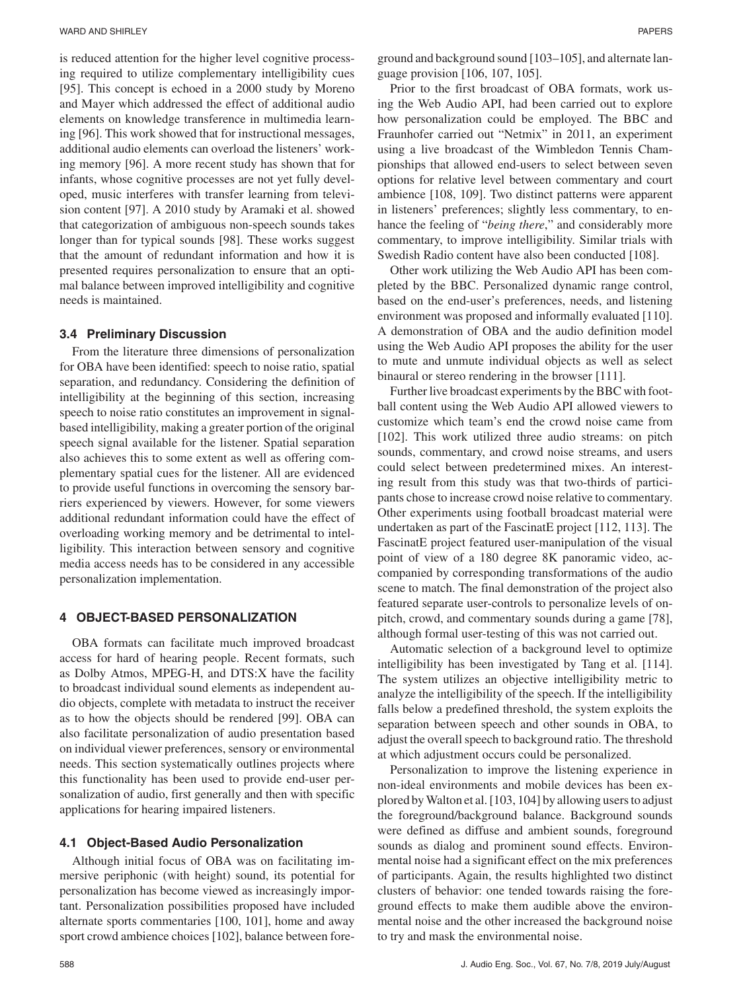is reduced attention for the higher level cognitive processing required to utilize complementary intelligibility cues [95]. This concept is echoed in a 2000 study by Moreno and Mayer which addressed the effect of additional audio elements on knowledge transference in multimedia learning [96]. This work showed that for instructional messages, additional audio elements can overload the listeners' working memory [96]. A more recent study has shown that for infants, whose cognitive processes are not yet fully developed, music interferes with transfer learning from television content [97]. A 2010 study by Aramaki et al. showed that categorization of ambiguous non-speech sounds takes longer than for typical sounds [98]. These works suggest that the amount of redundant information and how it is presented requires personalization to ensure that an optimal balance between improved intelligibility and cognitive needs is maintained.

#### **3.4 Preliminary Discussion**

From the literature three dimensions of personalization for OBA have been identified: speech to noise ratio, spatial separation, and redundancy. Considering the definition of intelligibility at the beginning of this section, increasing speech to noise ratio constitutes an improvement in signalbased intelligibility, making a greater portion of the original speech signal available for the listener. Spatial separation also achieves this to some extent as well as offering complementary spatial cues for the listener. All are evidenced to provide useful functions in overcoming the sensory barriers experienced by viewers. However, for some viewers additional redundant information could have the effect of overloading working memory and be detrimental to intelligibility. This interaction between sensory and cognitive media access needs has to be considered in any accessible personalization implementation.

# **4 OBJECT-BASED PERSONALIZATION**

OBA formats can facilitate much improved broadcast access for hard of hearing people. Recent formats, such as Dolby Atmos, MPEG-H, and DTS:X have the facility to broadcast individual sound elements as independent audio objects, complete with metadata to instruct the receiver as to how the objects should be rendered [99]. OBA can also facilitate personalization of audio presentation based on individual viewer preferences, sensory or environmental needs. This section systematically outlines projects where this functionality has been used to provide end-user personalization of audio, first generally and then with specific applications for hearing impaired listeners.

#### **4.1 Object-Based Audio Personalization**

Although initial focus of OBA was on facilitating immersive periphonic (with height) sound, its potential for personalization has become viewed as increasingly important. Personalization possibilities proposed have included alternate sports commentaries [100, 101], home and away sport crowd ambience choices [102], balance between fore-

ground and background sound [103–105], and alternate language provision [106, 107, 105].

Prior to the first broadcast of OBA formats, work using the Web Audio API, had been carried out to explore how personalization could be employed. The BBC and Fraunhofer carried out "Netmix" in 2011, an experiment using a live broadcast of the Wimbledon Tennis Championships that allowed end-users to select between seven options for relative level between commentary and court ambience [108, 109]. Two distinct patterns were apparent in listeners' preferences; slightly less commentary, to enhance the feeling of "*being there*," and considerably more commentary, to improve intelligibility. Similar trials with Swedish Radio content have also been conducted [108].

Other work utilizing the Web Audio API has been completed by the BBC. Personalized dynamic range control, based on the end-user's preferences, needs, and listening environment was proposed and informally evaluated [110]. A demonstration of OBA and the audio definition model using the Web Audio API proposes the ability for the user to mute and unmute individual objects as well as select binaural or stereo rendering in the browser [111].

Further live broadcast experiments by the BBC with football content using the Web Audio API allowed viewers to customize which team's end the crowd noise came from [102]. This work utilized three audio streams: on pitch sounds, commentary, and crowd noise streams, and users could select between predetermined mixes. An interesting result from this study was that two-thirds of participants chose to increase crowd noise relative to commentary. Other experiments using football broadcast material were undertaken as part of the FascinatE project [112, 113]. The FascinatE project featured user-manipulation of the visual point of view of a 180 degree 8K panoramic video, accompanied by corresponding transformations of the audio scene to match. The final demonstration of the project also featured separate user-controls to personalize levels of onpitch, crowd, and commentary sounds during a game [78], although formal user-testing of this was not carried out.

Automatic selection of a background level to optimize intelligibility has been investigated by Tang et al. [114]. The system utilizes an objective intelligibility metric to analyze the intelligibility of the speech. If the intelligibility falls below a predefined threshold, the system exploits the separation between speech and other sounds in OBA, to adjust the overall speech to background ratio. The threshold at which adjustment occurs could be personalized.

Personalization to improve the listening experience in non-ideal environments and mobile devices has been explored byWalton et al. [103, 104] by allowing users to adjust the foreground/background balance. Background sounds were defined as diffuse and ambient sounds, foreground sounds as dialog and prominent sound effects. Environmental noise had a significant effect on the mix preferences of participants. Again, the results highlighted two distinct clusters of behavior: one tended towards raising the foreground effects to make them audible above the environmental noise and the other increased the background noise to try and mask the environmental noise.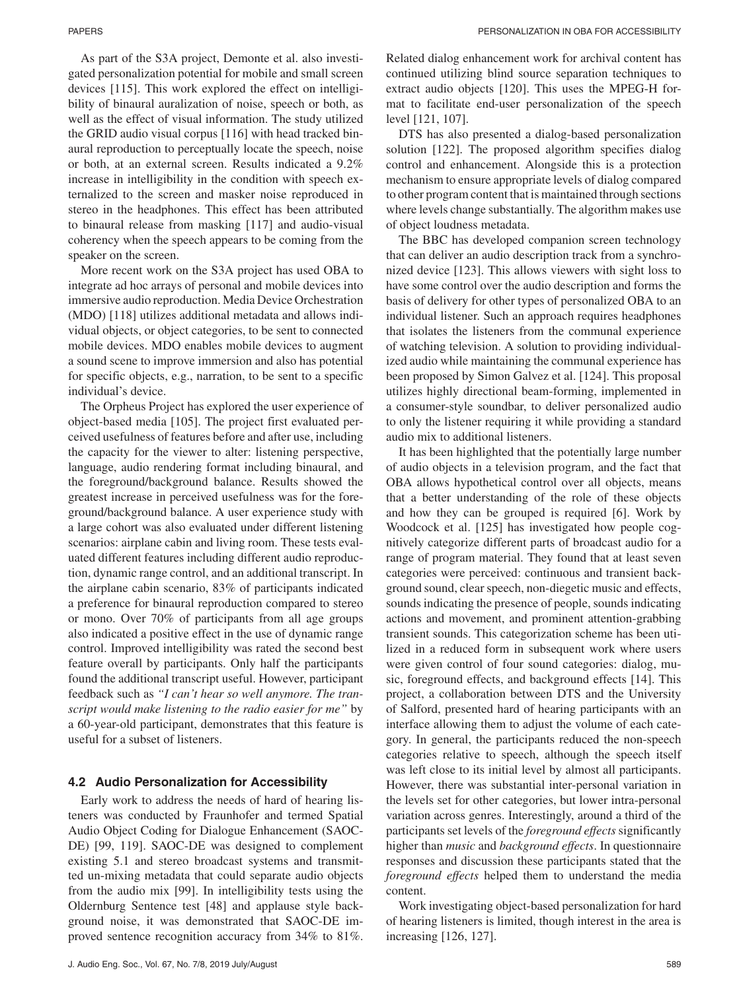As part of the S3A project, Demonte et al. also investigated personalization potential for mobile and small screen devices [115]. This work explored the effect on intelligibility of binaural auralization of noise, speech or both, as well as the effect of visual information. The study utilized the GRID audio visual corpus [116] with head tracked binaural reproduction to perceptually locate the speech, noise or both, at an external screen. Results indicated a 9.2% increase in intelligibility in the condition with speech externalized to the screen and masker noise reproduced in stereo in the headphones. This effect has been attributed to binaural release from masking [117] and audio-visual coherency when the speech appears to be coming from the speaker on the screen.

More recent work on the S3A project has used OBA to integrate ad hoc arrays of personal and mobile devices into immersive audio reproduction. Media Device Orchestration (MDO) [118] utilizes additional metadata and allows individual objects, or object categories, to be sent to connected mobile devices. MDO enables mobile devices to augment a sound scene to improve immersion and also has potential for specific objects, e.g., narration, to be sent to a specific individual's device.

The Orpheus Project has explored the user experience of object-based media [105]. The project first evaluated perceived usefulness of features before and after use, including the capacity for the viewer to alter: listening perspective, language, audio rendering format including binaural, and the foreground/background balance. Results showed the greatest increase in perceived usefulness was for the foreground/background balance. A user experience study with a large cohort was also evaluated under different listening scenarios: airplane cabin and living room. These tests evaluated different features including different audio reproduction, dynamic range control, and an additional transcript. In the airplane cabin scenario, 83% of participants indicated a preference for binaural reproduction compared to stereo or mono. Over 70% of participants from all age groups also indicated a positive effect in the use of dynamic range control. Improved intelligibility was rated the second best feature overall by participants. Only half the participants found the additional transcript useful. However, participant feedback such as *"I can't hear so well anymore. The transcript would make listening to the radio easier for me"* by a 60-year-old participant, demonstrates that this feature is useful for a subset of listeners.

### **4.2 Audio Personalization for Accessibility**

Early work to address the needs of hard of hearing listeners was conducted by Fraunhofer and termed Spatial Audio Object Coding for Dialogue Enhancement (SAOC-DE) [99, 119]. SAOC-DE was designed to complement existing 5.1 and stereo broadcast systems and transmitted un-mixing metadata that could separate audio objects from the audio mix [99]. In intelligibility tests using the Oldernburg Sentence test [48] and applause style background noise, it was demonstrated that SAOC-DE improved sentence recognition accuracy from 34% to 81%.

Related dialog enhancement work for archival content has continued utilizing blind source separation techniques to extract audio objects [120]. This uses the MPEG-H format to facilitate end-user personalization of the speech level [121, 107].

DTS has also presented a dialog-based personalization solution [122]. The proposed algorithm specifies dialog control and enhancement. Alongside this is a protection mechanism to ensure appropriate levels of dialog compared to other program content that is maintained through sections where levels change substantially. The algorithm makes use of object loudness metadata.

The BBC has developed companion screen technology that can deliver an audio description track from a synchronized device [123]. This allows viewers with sight loss to have some control over the audio description and forms the basis of delivery for other types of personalized OBA to an individual listener. Such an approach requires headphones that isolates the listeners from the communal experience of watching television. A solution to providing individualized audio while maintaining the communal experience has been proposed by Simon Galvez et al. [124]. This proposal utilizes highly directional beam-forming, implemented in a consumer-style soundbar, to deliver personalized audio to only the listener requiring it while providing a standard audio mix to additional listeners.

It has been highlighted that the potentially large number of audio objects in a television program, and the fact that OBA allows hypothetical control over all objects, means that a better understanding of the role of these objects and how they can be grouped is required [6]. Work by Woodcock et al. [125] has investigated how people cognitively categorize different parts of broadcast audio for a range of program material. They found that at least seven categories were perceived: continuous and transient background sound, clear speech, non-diegetic music and effects, sounds indicating the presence of people, sounds indicating actions and movement, and prominent attention-grabbing transient sounds. This categorization scheme has been utilized in a reduced form in subsequent work where users were given control of four sound categories: dialog, music, foreground effects, and background effects [14]. This project, a collaboration between DTS and the University of Salford, presented hard of hearing participants with an interface allowing them to adjust the volume of each category. In general, the participants reduced the non-speech categories relative to speech, although the speech itself was left close to its initial level by almost all participants. However, there was substantial inter-personal variation in the levels set for other categories, but lower intra-personal variation across genres. Interestingly, around a third of the participants set levels of the *foreground effects* significantly higher than *music* and *background effects*. In questionnaire responses and discussion these participants stated that the *foreground effects* helped them to understand the media content.

Work investigating object-based personalization for hard of hearing listeners is limited, though interest in the area is increasing [126, 127].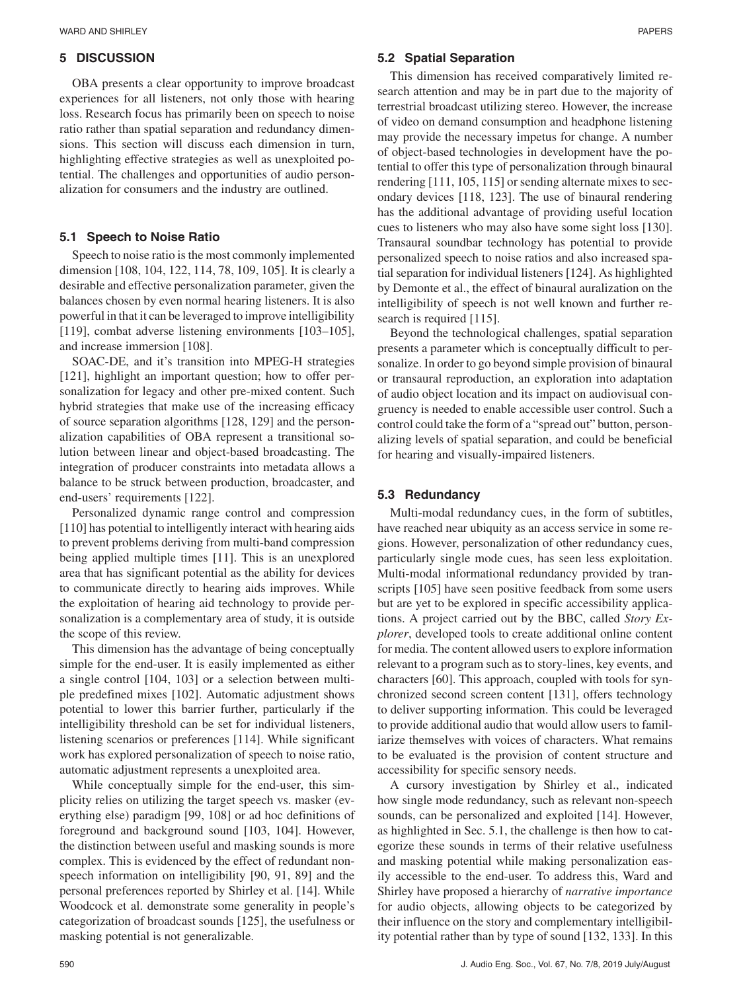### **5 DISCUSSION**

OBA presents a clear opportunity to improve broadcast experiences for all listeners, not only those with hearing loss. Research focus has primarily been on speech to noise ratio rather than spatial separation and redundancy dimensions. This section will discuss each dimension in turn, highlighting effective strategies as well as unexploited potential. The challenges and opportunities of audio personalization for consumers and the industry are outlined.

#### **5.1 Speech to Noise Ratio**

Speech to noise ratio is the most commonly implemented dimension [108, 104, 122, 114, 78, 109, 105]. It is clearly a desirable and effective personalization parameter, given the balances chosen by even normal hearing listeners. It is also powerful in that it can be leveraged to improve intelligibility [119], combat adverse listening environments [103–105], and increase immersion [108].

SOAC-DE, and it's transition into MPEG-H strategies [121], highlight an important question; how to offer personalization for legacy and other pre-mixed content. Such hybrid strategies that make use of the increasing efficacy of source separation algorithms [128, 129] and the personalization capabilities of OBA represent a transitional solution between linear and object-based broadcasting. The integration of producer constraints into metadata allows a balance to be struck between production, broadcaster, and end-users' requirements [122].

Personalized dynamic range control and compression [110] has potential to intelligently interact with hearing aids to prevent problems deriving from multi-band compression being applied multiple times [11]. This is an unexplored area that has significant potential as the ability for devices to communicate directly to hearing aids improves. While the exploitation of hearing aid technology to provide personalization is a complementary area of study, it is outside the scope of this review.

This dimension has the advantage of being conceptually simple for the end-user. It is easily implemented as either a single control [104, 103] or a selection between multiple predefined mixes [102]. Automatic adjustment shows potential to lower this barrier further, particularly if the intelligibility threshold can be set for individual listeners, listening scenarios or preferences [114]. While significant work has explored personalization of speech to noise ratio, automatic adjustment represents a unexploited area.

While conceptually simple for the end-user, this simplicity relies on utilizing the target speech vs. masker (everything else) paradigm [99, 108] or ad hoc definitions of foreground and background sound [103, 104]. However, the distinction between useful and masking sounds is more complex. This is evidenced by the effect of redundant nonspeech information on intelligibility [90, 91, 89] and the personal preferences reported by Shirley et al. [14]. While Woodcock et al. demonstrate some generality in people's categorization of broadcast sounds [125], the usefulness or masking potential is not generalizable.

#### **5.2 Spatial Separation**

This dimension has received comparatively limited research attention and may be in part due to the majority of terrestrial broadcast utilizing stereo. However, the increase of video on demand consumption and headphone listening may provide the necessary impetus for change. A number of object-based technologies in development have the potential to offer this type of personalization through binaural rendering [111, 105, 115] or sending alternate mixes to secondary devices [118, 123]. The use of binaural rendering has the additional advantage of providing useful location cues to listeners who may also have some sight loss [130]. Transaural soundbar technology has potential to provide personalized speech to noise ratios and also increased spatial separation for individual listeners [124]. As highlighted by Demonte et al., the effect of binaural auralization on the intelligibility of speech is not well known and further research is required [115].

Beyond the technological challenges, spatial separation presents a parameter which is conceptually difficult to personalize. In order to go beyond simple provision of binaural or transaural reproduction, an exploration into adaptation of audio object location and its impact on audiovisual congruency is needed to enable accessible user control. Such a control could take the form of a "spread out" button, personalizing levels of spatial separation, and could be beneficial for hearing and visually-impaired listeners.

# **5.3 Redundancy**

Multi-modal redundancy cues, in the form of subtitles, have reached near ubiquity as an access service in some regions. However, personalization of other redundancy cues, particularly single mode cues, has seen less exploitation. Multi-modal informational redundancy provided by transcripts [105] have seen positive feedback from some users but are yet to be explored in specific accessibility applications. A project carried out by the BBC, called *Story Explorer*, developed tools to create additional online content for media. The content allowed users to explore information relevant to a program such as to story-lines, key events, and characters [60]. This approach, coupled with tools for synchronized second screen content [131], offers technology to deliver supporting information. This could be leveraged to provide additional audio that would allow users to familiarize themselves with voices of characters. What remains to be evaluated is the provision of content structure and accessibility for specific sensory needs.

A cursory investigation by Shirley et al., indicated how single mode redundancy, such as relevant non-speech sounds, can be personalized and exploited [14]. However, as highlighted in Sec. 5.1, the challenge is then how to categorize these sounds in terms of their relative usefulness and masking potential while making personalization easily accessible to the end-user. To address this, Ward and Shirley have proposed a hierarchy of *narrative importance* for audio objects, allowing objects to be categorized by their influence on the story and complementary intelligibility potential rather than by type of sound [132, 133]. In this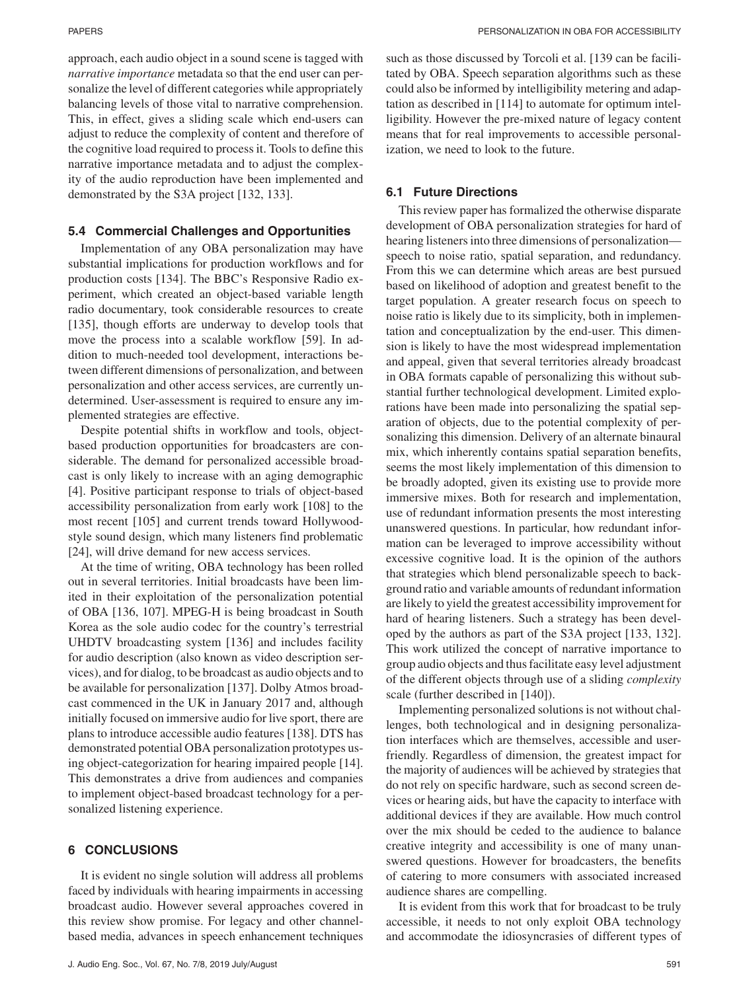approach, each audio object in a sound scene is tagged with *narrative importance* metadata so that the end user can personalize the level of different categories while appropriately balancing levels of those vital to narrative comprehension. This, in effect, gives a sliding scale which end-users can adjust to reduce the complexity of content and therefore of the cognitive load required to process it. Tools to define this narrative importance metadata and to adjust the complexity of the audio reproduction have been implemented and demonstrated by the S3A project [132, 133].

#### **5.4 Commercial Challenges and Opportunities**

Implementation of any OBA personalization may have substantial implications for production workflows and for production costs [134]. The BBC's Responsive Radio experiment, which created an object-based variable length radio documentary, took considerable resources to create [135], though efforts are underway to develop tools that move the process into a scalable workflow [59]. In addition to much-needed tool development, interactions between different dimensions of personalization, and between personalization and other access services, are currently undetermined. User-assessment is required to ensure any implemented strategies are effective.

Despite potential shifts in workflow and tools, objectbased production opportunities for broadcasters are considerable. The demand for personalized accessible broadcast is only likely to increase with an aging demographic [4]. Positive participant response to trials of object-based accessibility personalization from early work [108] to the most recent [105] and current trends toward Hollywoodstyle sound design, which many listeners find problematic [24], will drive demand for new access services.

At the time of writing, OBA technology has been rolled out in several territories. Initial broadcasts have been limited in their exploitation of the personalization potential of OBA [136, 107]. MPEG-H is being broadcast in South Korea as the sole audio codec for the country's terrestrial UHDTV broadcasting system [136] and includes facility for audio description (also known as video description services), and for dialog, to be broadcast as audio objects and to be available for personalization [137]. Dolby Atmos broadcast commenced in the UK in January 2017 and, although initially focused on immersive audio for live sport, there are plans to introduce accessible audio features [138]. DTS has demonstrated potential OBA personalization prototypes using object-categorization for hearing impaired people [14]. This demonstrates a drive from audiences and companies to implement object-based broadcast technology for a personalized listening experience.

#### **6 CONCLUSIONS**

It is evident no single solution will address all problems faced by individuals with hearing impairments in accessing broadcast audio. However several approaches covered in this review show promise. For legacy and other channelbased media, advances in speech enhancement techniques such as those discussed by Torcoli et al. [139 can be facilitated by OBA. Speech separation algorithms such as these could also be informed by intelligibility metering and adaptation as described in [114] to automate for optimum intelligibility. However the pre-mixed nature of legacy content means that for real improvements to accessible personalization, we need to look to the future.

# **6.1 Future Directions**

This review paper has formalized the otherwise disparate development of OBA personalization strategies for hard of hearing listeners into three dimensions of personalization speech to noise ratio, spatial separation, and redundancy. From this we can determine which areas are best pursued based on likelihood of adoption and greatest benefit to the target population. A greater research focus on speech to noise ratio is likely due to its simplicity, both in implementation and conceptualization by the end-user. This dimension is likely to have the most widespread implementation and appeal, given that several territories already broadcast in OBA formats capable of personalizing this without substantial further technological development. Limited explorations have been made into personalizing the spatial separation of objects, due to the potential complexity of personalizing this dimension. Delivery of an alternate binaural mix, which inherently contains spatial separation benefits, seems the most likely implementation of this dimension to be broadly adopted, given its existing use to provide more immersive mixes. Both for research and implementation, use of redundant information presents the most interesting unanswered questions. In particular, how redundant information can be leveraged to improve accessibility without excessive cognitive load. It is the opinion of the authors that strategies which blend personalizable speech to background ratio and variable amounts of redundant information are likely to yield the greatest accessibility improvement for hard of hearing listeners. Such a strategy has been developed by the authors as part of the S3A project [133, 132]. This work utilized the concept of narrative importance to group audio objects and thus facilitate easy level adjustment of the different objects through use of a sliding *complexity* scale (further described in [140]).

Implementing personalized solutions is not without challenges, both technological and in designing personalization interfaces which are themselves, accessible and userfriendly. Regardless of dimension, the greatest impact for the majority of audiences will be achieved by strategies that do not rely on specific hardware, such as second screen devices or hearing aids, but have the capacity to interface with additional devices if they are available. How much control over the mix should be ceded to the audience to balance creative integrity and accessibility is one of many unanswered questions. However for broadcasters, the benefits of catering to more consumers with associated increased audience shares are compelling.

It is evident from this work that for broadcast to be truly accessible, it needs to not only exploit OBA technology and accommodate the idiosyncrasies of different types of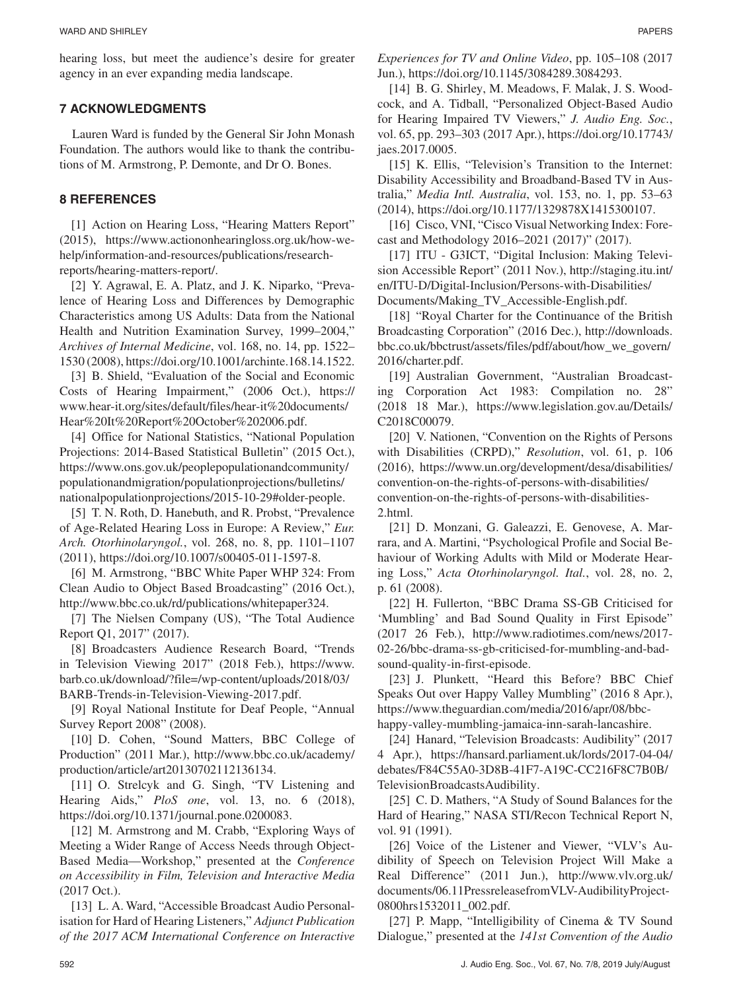hearing loss, but meet the audience's desire for greater agency in an ever expanding media landscape.

#### **7 ACKNOWLEDGMENTS**

Lauren Ward is funded by the General Sir John Monash Foundation. The authors would like to thank the contributions of M. Armstrong, P. Demonte, and Dr O. Bones.

#### **8 REFERENCES**

[1] Action on Hearing Loss, "Hearing Matters Report" (2015), https://www.actiononhearingloss.org.uk/how-wehelp/information-and-resources/publications/researchreports/hearing-matters-report/.

[2] Y. Agrawal, E. A. Platz, and J. K. Niparko, "Prevalence of Hearing Loss and Differences by Demographic Characteristics among US Adults: Data from the National Health and Nutrition Examination Survey, 1999–2004," *Archives of Internal Medicine*, vol. 168, no. 14, pp. 1522– 1530 (2008), https://doi.org/10.1001/archinte.168.14.1522.

[3] B. Shield, "Evaluation of the Social and Economic Costs of Hearing Impairment," (2006 Oct.), https:// www.hear-it.org/sites/default/files/hear-it%20documents/ Hear%20It%20Report%20October%202006.pdf.

[4] Office for National Statistics, "National Population Projections: 2014-Based Statistical Bulletin" (2015 Oct.), https://www.ons.gov.uk/peoplepopulationandcommunity/ populationandmigration/populationprojections/bulletins/ nationalpopulationprojections/2015-10-29#older-people.

[5] T. N. Roth, D. Hanebuth, and R. Probst, "Prevalence of Age-Related Hearing Loss in Europe: A Review," *Eur. Arch. Otorhinolaryngol.*, vol. 268, no. 8, pp. 1101–1107 (2011), https://doi.org/10.1007/s00405-011-1597-8.

[6] M. Armstrong, "BBC White Paper WHP 324: From Clean Audio to Object Based Broadcasting" (2016 Oct.), http://www.bbc.co.uk/rd/publications/whitepaper324.

[7] The Nielsen Company (US), "The Total Audience Report Q1, 2017" (2017).

[8] Broadcasters Audience Research Board, "Trends in Television Viewing 2017" (2018 Feb.), https://www. barb.co.uk/download/?file=/wp-content/uploads/2018/03/ BARB-Trends-in-Television-Viewing-2017.pdf.

[9] Royal National Institute for Deaf People, "Annual Survey Report 2008" (2008).

[10] D. Cohen, "Sound Matters, BBC College of Production" (2011 Mar.), http://www.bbc.co.uk/academy/ production/article/art20130702112136134.

[11] O. Strelcyk and G. Singh, "TV Listening and Hearing Aids," *PloS one*, vol. 13, no. 6 (2018), https://doi.org/10.1371/journal.pone.0200083.

[12] M. Armstrong and M. Crabb, "Exploring Ways of Meeting a Wider Range of Access Needs through Object-Based Media—Workshop," presented at the *Conference on Accessibility in Film, Television and Interactive Media* (2017 Oct.).

[13] L. A. Ward, "Accessible Broadcast Audio Personalisation for Hard of Hearing Listeners," *Adjunct Publication of the 2017 ACM International Conference on Interactive*

*Experiences for TV and Online Video*, pp. 105–108 (2017 Jun.), https://doi.org/10.1145/3084289.3084293.

[14] B. G. Shirley, M. Meadows, F. Malak, J. S. Woodcock, and A. Tidball, "Personalized Object-Based Audio for Hearing Impaired TV Viewers," *J. Audio Eng. Soc.*, vol. 65, pp. 293–303 (2017 Apr.), https://doi.org/10.17743/ jaes.2017.0005.

[15] K. Ellis, "Television's Transition to the Internet: Disability Accessibility and Broadband-Based TV in Australia," *Media Intl. Australia*, vol. 153, no. 1, pp. 53–63 (2014), https://doi.org/10.1177/1329878X1415300107.

[16] Cisco, VNI, "Cisco Visual Networking Index: Forecast and Methodology 2016–2021 (2017)" (2017).

[17] ITU - G3ICT, "Digital Inclusion: Making Television Accessible Report" (2011 Nov.), http://staging.itu.int/ en/ITU-D/Digital-Inclusion/Persons-with-Disabilities/ Documents/Making\_TV\_Accessible-English.pdf.

[18] "Royal Charter for the Continuance of the British Broadcasting Corporation" (2016 Dec.), http://downloads. bbc.co.uk/bbctrust/assets/files/pdf/about/how\_we\_govern/ 2016/charter.pdf.

[19] Australian Government, "Australian Broadcasting Corporation Act 1983: Compilation no. 28" (2018 18 Mar.), https://www.legislation.gov.au/Details/ C2018C00079.

[20] V. Nationen, "Convention on the Rights of Persons with Disabilities (CRPD)," *Resolution*, vol. 61, p. 106 (2016), https://www.un.org/development/desa/disabilities/ convention-on-the-rights-of-persons-with-disabilities/ convention-on-the-rights-of-persons-with-disabilities-2.html.

[21] D. Monzani, G. Galeazzi, E. Genovese, A. Marrara, and A. Martini, "Psychological Profile and Social Behaviour of Working Adults with Mild or Moderate Hearing Loss," *Acta Otorhinolaryngol. Ital.*, vol. 28, no. 2, p. 61 (2008).

[22] H. Fullerton, "BBC Drama SS-GB Criticised for 'Mumbling' and Bad Sound Quality in First Episode" (2017 26 Feb.), http://www.radiotimes.com/news/2017- 02-26/bbc-drama-ss-gb-criticised-for-mumbling-and-badsound-quality-in-first-episode.

[23] J. Plunkett, "Heard this Before? BBC Chief Speaks Out over Happy Valley Mumbling" (2016 8 Apr.), https://www.theguardian.com/media/2016/apr/08/bbchappy-valley-mumbling-jamaica-inn-sarah-lancashire.

[24] Hanard, "Television Broadcasts: Audibility" (2017 4 Apr.), https://hansard.parliament.uk/lords/2017-04-04/ debates/F84C55A0-3D8B-41F7-A19C-CC216F8C7B0B/ TelevisionBroadcastsAudibility.

[25] C. D. Mathers, "A Study of Sound Balances for the Hard of Hearing," NASA STI/Recon Technical Report N, vol. 91 (1991).

[26] Voice of the Listener and Viewer, "VLV's Audibility of Speech on Television Project Will Make a Real Difference" (2011 Jun.), http://www.vlv.org.uk/ documents/06.11PressreleasefromVLV-AudibilityProject-0800hrs1532011\_002.pdf.

[27] P. Mapp, "Intelligibility of Cinema & TV Sound Dialogue," presented at the *141st Convention of the Audio*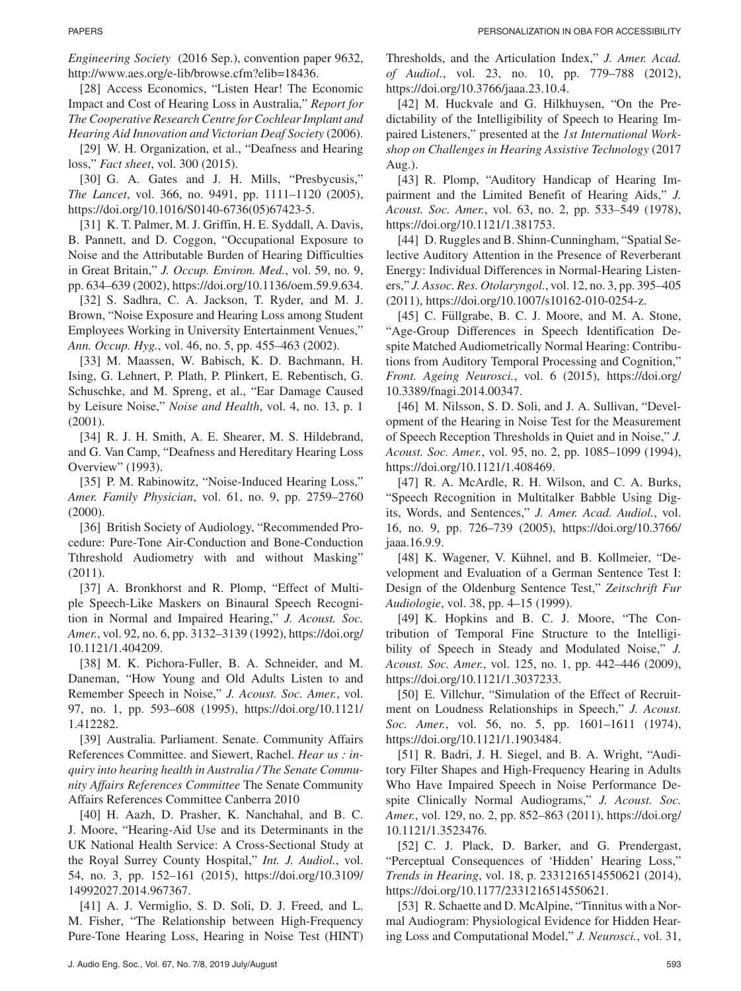*Engineering Society* (2016 Sep.), convention paper 9632, http://www.aes.org/e-lib/browse.cfm?elib=18436.

[28] Access Economics, "Listen Hear! The Economic Impact and Cost of Hearing Loss in Australia," *Report for The Cooperative Research Centre for Cochlear Implant and Hearing Aid Innovation and Victorian Deaf Society* (2006).

[29] W. H. Organization, et al., "Deafness and Hearing loss," *Fact sheet*, vol. 300 (2015).

[30] G. A. Gates and J. H. Mills, "Presbycusis," *The Lancet*, vol. 366, no. 9491, pp. 1111–1120 (2005), https://doi.org/10.1016/S0140-6736(05)67423-5.

[31] K. T. Palmer, M. J. Griffin, H. E. Syddall, A. Davis, B. Pannett, and D. Coggon, "Occupational Exposure to Noise and the Attributable Burden of Hearing Difficulties in Great Britain," *J. Occup. Environ. Med.*, vol. 59, no. 9, pp. 634–639 (2002), https://doi.org/10.1136/oem.59.9.634.

[32] S. Sadhra, C. A. Jackson, T. Ryder, and M. J. Brown, "Noise Exposure and Hearing Loss among Student Employees Working in University Entertainment Venues," *Ann. Occup. Hyg.*, vol. 46, no. 5, pp. 455–463 (2002).

[33] M. Maassen, W. Babisch, K. D. Bachmann, H. Ising, G. Lehnert, P. Plath, P. Plinkert, E. Rebentisch, G. Schuschke, and M. Spreng, et al., "Ear Damage Caused by Leisure Noise," *Noise and Health*, vol. 4, no. 13, p. 1 (2001).

[34] R. J. H. Smith, A. E. Shearer, M. S. Hildebrand, and G. Van Camp, "Deafness and Hereditary Hearing Loss Overview" (1993).

[35] P. M. Rabinowitz, "Noise-Induced Hearing Loss," *Amer. Family Physician*, vol. 61, no. 9, pp. 2759–2760 (2000).

[36] British Society of Audiology, "Recommended Procedure: Pure-Tone Air-Conduction and Bone-Conduction Tthreshold Audiometry with and without Masking" (2011).

[37] A. Bronkhorst and R. Plomp, "Effect of Multiple Speech-Like Maskers on Binaural Speech Recognition in Normal and Impaired Hearing," *J. Acoust. Soc. Amer.*, vol. 92, no. 6, pp. 3132–3139 (1992), https://doi.org/ 10.1121/1.404209.

[38] M. K. Pichora-Fuller, B. A. Schneider, and M. Daneman, "How Young and Old Adults Listen to and Remember Speech in Noise," *J. Acoust. Soc. Amer.*, vol. 97, no. 1, pp. 593–608 (1995), https://doi.org/10.1121/ 1.412282.

[39] Australia. Parliament. Senate. Community Affairs References Committee. and Siewert, Rachel. *Hear us : inquiry into hearing health in Australia / The Senate Community Affairs References Committee* The Senate Community Affairs References Committee Canberra 2010

[40] H. Aazh, D. Prasher, K. Nanchahal, and B. C. J. Moore, "Hearing-Aid Use and its Determinants in the UK National Health Service: A Cross-Sectional Study at the Royal Surrey County Hospital," *Int. J. Audiol.*, vol. 54, no. 3, pp. 152–161 (2015), https://doi.org/10.3109/ 14992027.2014.967367.

[41] A. J. Vermiglio, S. D. Soli, D. J. Freed, and L. M. Fisher, "The Relationship between High-Frequency Pure-Tone Hearing Loss, Hearing in Noise Test (HINT)

[42] M. Huckvale and G. Hilkhuysen, "On the Predictability of the Intelligibility of Speech to Hearing Impaired Listeners," presented at the *1st International Workshop on Challenges in Hearing Assistive Technology* (2017 Aug.).

[43] R. Plomp, "Auditory Handicap of Hearing Impairment and the Limited Benefit of Hearing Aids," *J. Acoust. Soc. Amer.*, vol. 63, no. 2, pp. 533–549 (1978), https://doi.org/10.1121/1.381753.

[44] D. Ruggles and B. Shinn-Cunningham, "Spatial Selective Auditory Attention in the Presence of Reverberant Energy: Individual Differences in Normal-Hearing Listeners," *J. Assoc. Res. Otolaryngol.*, vol. 12, no. 3, pp. 395–405 (2011), https://doi.org/10.1007/s10162-010-0254-z.

 $[45]$  C. Füllgrabe, B. C. J. Moore, and M. A. Stone, "Age-Group Differences in Speech Identification Despite Matched Audiometrically Normal Hearing: Contributions from Auditory Temporal Processing and Cognition," *Front. Ageing Neurosci.*, vol. 6 (2015), https://doi.org/ 10.3389/fnagi.2014.00347.

[46] M. Nilsson, S. D. Soli, and J. A. Sullivan, "Development of the Hearing in Noise Test for the Measurement of Speech Reception Thresholds in Quiet and in Noise," *J. Acoust. Soc. Amer.*, vol. 95, no. 2, pp. 1085–1099 (1994), https://doi.org/10.1121/1.408469.

[47] R. A. McArdle, R. H. Wilson, and C. A. Burks, "Speech Recognition in Multitalker Babble Using Digits, Words, and Sentences," *J. Amer. Acad. Audiol.*, vol. 16, no. 9, pp. 726–739 (2005), https://doi.org/10.3766/ jaaa.16.9.9.

[48] K. Wagener, V. Kühnel, and B. Kollmeier, "Development and Evaluation of a German Sentence Test I: Design of the Oldenburg Sentence Test," *Zeitschrift Fur Audiologie*, vol. 38, pp. 4–15 (1999).

[49] K. Hopkins and B. C. J. Moore, "The Contribution of Temporal Fine Structure to the Intelligibility of Speech in Steady and Modulated Noise," *J. Acoust. Soc. Amer.*, vol. 125, no. 1, pp. 442–446 (2009), https://doi.org/10.1121/1.3037233.

[50] E. Villchur, "Simulation of the Effect of Recruitment on Loudness Relationships in Speech," *J. Acoust. Soc. Amer.*, vol. 56, no. 5, pp. 1601–1611 (1974), https://doi.org/10.1121/1.1903484.

[51] R. Badri, J. H. Siegel, and B. A. Wright, "Auditory Filter Shapes and High-Frequency Hearing in Adults Who Have Impaired Speech in Noise Performance Despite Clinically Normal Audiograms," *J. Acoust. Soc. Amer.*, vol. 129, no. 2, pp. 852–863 (2011), https://doi.org/ 10.1121/1.3523476.

[52] C. J. Plack, D. Barker, and G. Prendergast, "Perceptual Consequences of 'Hidden' Hearing Loss," *Trends in Hearing*, vol. 18, p. 2331216514550621 (2014), https://doi.org/10.1177/2331216514550621.

[53] R. Schaette and D. McAlpine, "Tinnitus with a Normal Audiogram: Physiological Evidence for Hidden Hearing Loss and Computational Model," *J. Neurosci.*, vol. 31,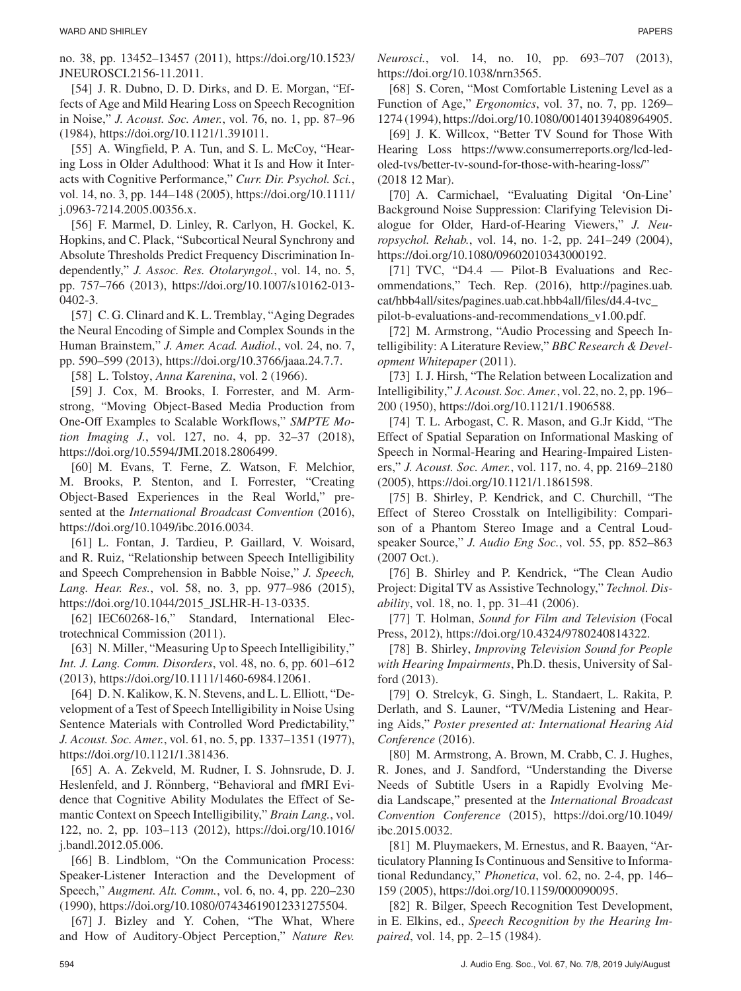no. 38, pp. 13452–13457 (2011), https://doi.org/10.1523/ JNEUROSCI.2156-11.2011.

[54] J. R. Dubno, D. D. Dirks, and D. E. Morgan, "Effects of Age and Mild Hearing Loss on Speech Recognition in Noise," *J. Acoust. Soc. Amer.*, vol. 76, no. 1, pp. 87–96 (1984), https://doi.org/10.1121/1.391011.

[55] A. Wingfield, P. A. Tun, and S. L. McCoy, "Hearing Loss in Older Adulthood: What it Is and How it Interacts with Cognitive Performance," *Curr. Dir. Psychol. Sci.*, vol. 14, no. 3, pp. 144–148 (2005), https://doi.org/10.1111/ j.0963-7214.2005.00356.x.

[56] F. Marmel, D. Linley, R. Carlyon, H. Gockel, K. Hopkins, and C. Plack, "Subcortical Neural Synchrony and Absolute Thresholds Predict Frequency Discrimination Independently," *J. Assoc. Res. Otolaryngol.*, vol. 14, no. 5, pp. 757–766 (2013), https://doi.org/10.1007/s10162-013- 0402-3.

[57] C. G. Clinard and K. L. Tremblay, "Aging Degrades" the Neural Encoding of Simple and Complex Sounds in the Human Brainstem," *J. Amer. Acad. Audiol.*, vol. 24, no. 7, pp. 590–599 (2013), https://doi.org/10.3766/jaaa.24.7.7.

[58] L. Tolstoy, *Anna Karenina*, vol. 2 (1966).

[59] J. Cox, M. Brooks, I. Forrester, and M. Armstrong, "Moving Object-Based Media Production from One-Off Examples to Scalable Workflows," *SMPTE Motion Imaging J.*, vol. 127, no. 4, pp. 32–37 (2018), https://doi.org/10.5594/JMI.2018.2806499.

[60] M. Evans, T. Ferne, Z. Watson, F. Melchior, M. Brooks, P. Stenton, and I. Forrester, "Creating Object-Based Experiences in the Real World," presented at the *International Broadcast Convention* (2016), https://doi.org/10.1049/ibc.2016.0034.

[61] L. Fontan, J. Tardieu, P. Gaillard, V. Woisard, and R. Ruiz, "Relationship between Speech Intelligibility and Speech Comprehension in Babble Noise," *J. Speech, Lang. Hear. Res.*, vol. 58, no. 3, pp. 977–986 (2015), https://doi.org/10.1044/2015\_JSLHR-H-13-0335.

[62] IEC60268-16," Standard, International Electrotechnical Commission (2011).

[63] N. Miller, "Measuring Up to Speech Intelligibility," *Int. J. Lang. Comm. Disorders*, vol. 48, no. 6, pp. 601–612 (2013), https://doi.org/10.1111/1460-6984.12061.

[64] D. N. Kalikow, K. N. Stevens, and L. L. Elliott, "Development of a Test of Speech Intelligibility in Noise Using Sentence Materials with Controlled Word Predictability," *J. Acoust. Soc. Amer.*, vol. 61, no. 5, pp. 1337–1351 (1977), https://doi.org/10.1121/1.381436.

[65] A. A. Zekveld, M. Rudner, I. S. Johnsrude, D. J. Heslenfeld, and J. Rönnberg, "Behavioral and fMRI Evidence that Cognitive Ability Modulates the Effect of Semantic Context on Speech Intelligibility," *Brain Lang.*, vol. 122, no. 2, pp. 103–113 (2012), https://doi.org/10.1016/ j.bandl.2012.05.006.

[66] B. Lindblom, "On the Communication Process: Speaker-Listener Interaction and the Development of Speech," *Augment. Alt. Comm.*, vol. 6, no. 4, pp. 220–230 (1990), https://doi.org/10.1080/07434619012331275504.

[67] J. Bizley and Y. Cohen, "The What, Where and How of Auditory-Object Perception," *Nature Rev.* *Neurosci.*, vol. 14, no. 10, pp. 693–707 (2013), https://doi.org/10.1038/nrn3565.

[68] S. Coren, "Most Comfortable Listening Level as a Function of Age," *Ergonomics*, vol. 37, no. 7, pp. 1269– 1274 (1994), https://doi.org/10.1080/00140139408964905.

[69] J. K. Willcox, "Better TV Sound for Those With Hearing Loss https://www.consumerreports.org/lcd-ledoled-tvs/better-tv-sound-for-those-with-hearing-loss/" (2018 12 Mar).

[70] A. Carmichael, "Evaluating Digital 'On-Line' Background Noise Suppression: Clarifying Television Dialogue for Older, Hard-of-Hearing Viewers," *J. Neuropsychol. Rehab.*, vol. 14, no. 1-2, pp. 241–249 (2004), https://doi.org/10.1080/09602010343000192.

[71] TVC, "D4.4 — Pilot-B Evaluations and Recommendations," Tech. Rep. (2016), http://pagines.uab. cat/hbb4all/sites/pagines.uab.cat.hbb4all/files/d4.4-tvc\_ pilot-b-evaluations-and-recommendations\_v1.00.pdf.

[72] M. Armstrong, "Audio Processing and Speech Intelligibility: A Literature Review," *BBC Research & Development Whitepaper* (2011).

[73] I. J. Hirsh, "The Relation between Localization and Intelligibility," *J. Acoust. Soc. Amer.*, vol. 22, no. 2, pp. 196– 200 (1950), https://doi.org/10.1121/1.1906588.

[74] T. L. Arbogast, C. R. Mason, and G.Jr Kidd, "The Effect of Spatial Separation on Informational Masking of Speech in Normal-Hearing and Hearing-Impaired Listeners," *J. Acoust. Soc. Amer.*, vol. 117, no. 4, pp. 2169–2180 (2005), https://doi.org/10.1121/1.1861598.

[75] B. Shirley, P. Kendrick, and C. Churchill, "The Effect of Stereo Crosstalk on Intelligibility: Comparison of a Phantom Stereo Image and a Central Loudspeaker Source," *J. Audio Eng Soc.*, vol. 55, pp. 852–863 (2007 Oct.).

[76] B. Shirley and P. Kendrick, "The Clean Audio Project: Digital TV as Assistive Technology," *Technol. Disability*, vol. 18, no. 1, pp. 31–41 (2006).

[77] T. Holman, *Sound for Film and Television* (Focal Press, 2012), https://doi.org/10.4324/9780240814322.

[78] B. Shirley, *Improving Television Sound for People with Hearing Impairments*, Ph.D. thesis, University of Salford (2013).

[79] O. Strelcyk, G. Singh, L. Standaert, L. Rakita, P. Derlath, and S. Launer, "TV/Media Listening and Hearing Aids," *Poster presented at: International Hearing Aid Conference* (2016).

[80] M. Armstrong, A. Brown, M. Crabb, C. J. Hughes, R. Jones, and J. Sandford, "Understanding the Diverse Needs of Subtitle Users in a Rapidly Evolving Media Landscape," presented at the *International Broadcast Convention Conference* (2015), https://doi.org/10.1049/ ibc.2015.0032.

[81] M. Pluymaekers, M. Ernestus, and R. Baayen, "Articulatory Planning Is Continuous and Sensitive to Informational Redundancy," *Phonetica*, vol. 62, no. 2-4, pp. 146– 159 (2005), https://doi.org/10.1159/000090095.

[82] R. Bilger, Speech Recognition Test Development, in E. Elkins, ed., *Speech Recognition by the Hearing Impaired*, vol. 14, pp. 2–15 (1984).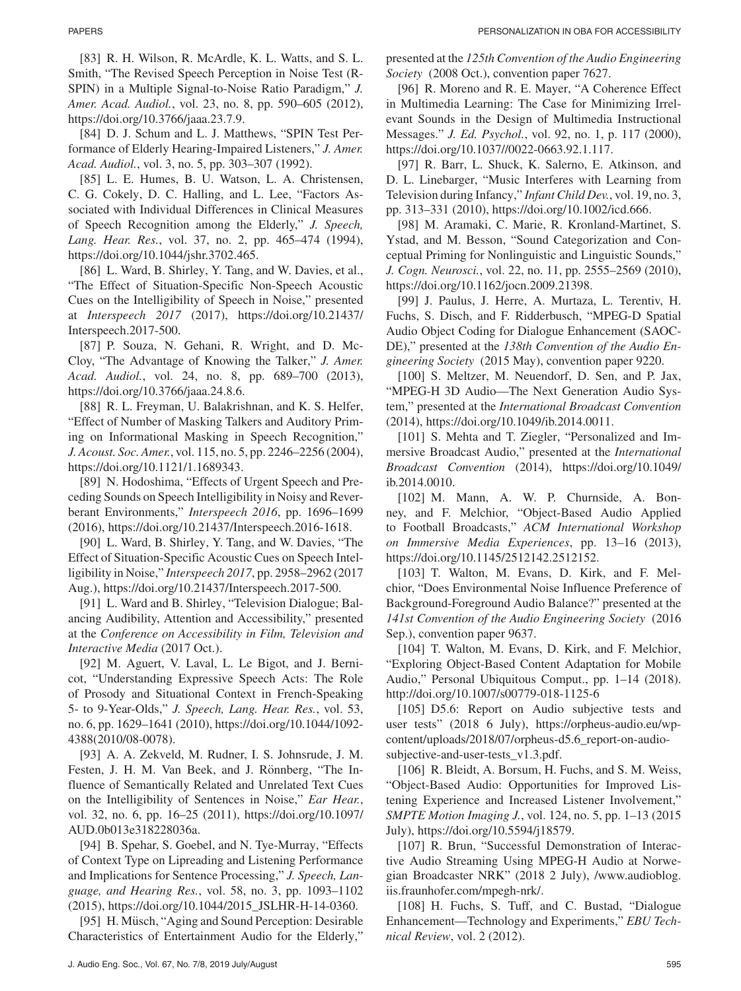[83] R. H. Wilson, R. McArdle, K. L. Watts, and S. L. Smith, "The Revised Speech Perception in Noise Test (R-SPIN) in a Multiple Signal-to-Noise Ratio Paradigm," *J. Amer. Acad. Audiol.*, vol. 23, no. 8, pp. 590–605 (2012), https://doi.org/10.3766/jaaa.23.7.9.

[84] D. J. Schum and L. J. Matthews, "SPIN Test Performance of Elderly Hearing-Impaired Listeners," *J. Amer. Acad. Audiol.*, vol. 3, no. 5, pp. 303–307 (1992).

[85] L. E. Humes, B. U. Watson, L. A. Christensen, C. G. Cokely, D. C. Halling, and L. Lee, "Factors Associated with Individual Differences in Clinical Measures of Speech Recognition among the Elderly," *J. Speech, Lang. Hear. Res.*, vol. 37, no. 2, pp. 465–474 (1994), https://doi.org/10.1044/jshr.3702.465.

[86] L. Ward, B. Shirley, Y. Tang, and W. Davies, et al., "The Effect of Situation-Specific Non-Speech Acoustic Cues on the Intelligibility of Speech in Noise," presented at *Interspeech 2017* (2017), https://doi.org/10.21437/ Interspeech.2017-500.

[87] P. Souza, N. Gehani, R. Wright, and D. Mc-Cloy, "The Advantage of Knowing the Talker," *J. Amer. Acad. Audiol.*, vol. 24, no. 8, pp. 689–700 (2013), https://doi.org/10.3766/jaaa.24.8.6.

[88] R. L. Freyman, U. Balakrishnan, and K. S. Helfer, "Effect of Number of Masking Talkers and Auditory Priming on Informational Masking in Speech Recognition," *J. Acoust. Soc. Amer.*, vol. 115, no. 5, pp. 2246–2256 (2004), https://doi.org/10.1121/1.1689343.

[89] N. Hodoshima, "Effects of Urgent Speech and Preceding Sounds on Speech Intelligibility in Noisy and Reverberant Environments," *Interspeech 2016*, pp. 1696–1699 (2016), https://doi.org/10.21437/Interspeech.2016-1618.

[90] L. Ward, B. Shirley, Y. Tang, and W. Davies, "The Effect of Situation-Specific Acoustic Cues on Speech Intelligibility in Noise," *Interspeech 2017*, pp. 2958–2962 (2017 Aug.), https://doi.org/10.21437/Interspeech.2017-500.

[91] L. Ward and B. Shirley, "Television Dialogue; Balancing Audibility, Attention and Accessibility," presented at the *Conference on Accessibility in Film, Television and Interactive Media* (2017 Oct.).

[92] M. Aguert, V. Laval, L. Le Bigot, and J. Bernicot, "Understanding Expressive Speech Acts: The Role of Prosody and Situational Context in French-Speaking 5- to 9-Year-Olds," *J. Speech, Lang. Hear. Res.*, vol. 53, no. 6, pp. 1629–1641 (2010), https://doi.org/10.1044/1092- 4388(2010/08-0078).

[93] A. A. Zekveld, M. Rudner, I. S. Johnsrude, J. M. Festen, J. H. M. Van Beek, and J. Rönnberg, "The Influence of Semantically Related and Unrelated Text Cues on the Intelligibility of Sentences in Noise," *Ear Hear.*, vol. 32, no. 6, pp. 16–25 (2011), https://doi.org/10.1097/ AUD.0b013e318228036a.

[94] B. Spehar, S. Goebel, and N. Tye-Murray, "Effects of Context Type on Lipreading and Listening Performance and Implications for Sentence Processing," *J. Speech, Language, and Hearing Res.*, vol. 58, no. 3, pp. 1093–1102 (2015), https://doi.org/10.1044/2015\_JSLHR-H-14-0360.

[95] H. Müsch, "Aging and Sound Perception: Desirable Characteristics of Entertainment Audio for the Elderly,"

presented at the *125th Convention of the Audio Engineering Society* (2008 Oct.), convention paper 7627.

[96] R. Moreno and R. E. Mayer, "A Coherence Effect in Multimedia Learning: The Case for Minimizing Irrelevant Sounds in the Design of Multimedia Instructional Messages." *J. Ed. Psychol.*, vol. 92, no. 1, p. 117 (2000), https://doi.org/10.1037//0022-0663.92.1.117.

[97] R. Barr, L. Shuck, K. Salerno, E. Atkinson, and D. L. Linebarger, "Music Interferes with Learning from Television during Infancy," *Infant Child Dev.*, vol. 19, no. 3, pp. 313–331 (2010), https://doi.org/10.1002/icd.666.

[98] M. Aramaki, C. Marie, R. Kronland-Martinet, S. Ystad, and M. Besson, "Sound Categorization and Conceptual Priming for Nonlinguistic and Linguistic Sounds," *J. Cogn. Neurosci.*, vol. 22, no. 11, pp. 2555–2569 (2010), https://doi.org/10.1162/jocn.2009.21398.

[99] J. Paulus, J. Herre, A. Murtaza, L. Terentiv, H. Fuchs, S. Disch, and F. Ridderbusch, "MPEG-D Spatial Audio Object Coding for Dialogue Enhancement (SAOC-DE)," presented at the *138th Convention of the Audio Engineering Society* (2015 May), convention paper 9220.

[100] S. Meltzer, M. Neuendorf, D. Sen, and P. Jax, "MPEG-H 3D Audio—The Next Generation Audio System," presented at the *International Broadcast Convention* (2014), https://doi.org/10.1049/ib.2014.0011.

[101] S. Mehta and T. Ziegler, "Personalized and Immersive Broadcast Audio," presented at the *International Broadcast Convention* (2014), https://doi.org/10.1049/ ib.2014.0010.

[102] M. Mann, A. W. P. Churnside, A. Bonney, and F. Melchior, "Object-Based Audio Applied to Football Broadcasts," *ACM International Workshop on Immersive Media Experiences*, pp. 13–16 (2013), https://doi.org/10.1145/2512142.2512152.

[103] T. Walton, M. Evans, D. Kirk, and F. Melchior, "Does Environmental Noise Influence Preference of Background-Foreground Audio Balance?" presented at the *141st Convention of the Audio Engineering Society* (2016 Sep.), convention paper 9637.

[104] T. Walton, M. Evans, D. Kirk, and F. Melchior, "Exploring Object-Based Content Adaptation for Mobile Audio," Personal Ubiquitous Comput., pp. 1–14 (2018). http://doi.org/10.1007/s00779-018-1125-6

[105] D5.6: Report on Audio subjective tests and user tests" (2018 6 July), https://orpheus-audio.eu/wpcontent/uploads/2018/07/orpheus-d5.6\_report-on-audiosubjective-and-user-tests\_v1.3.pdf.

[106] R. Bleidt, A. Borsum, H. Fuchs, and S. M. Weiss, "Object-Based Audio: Opportunities for Improved Listening Experience and Increased Listener Involvement," *SMPTE Motion Imaging J.*, vol. 124, no. 5, pp. 1–13 (2015 July), https://doi.org/10.5594/j18579.

[107] R. Brun, "Successful Demonstration of Interactive Audio Streaming Using MPEG-H Audio at Norwegian Broadcaster NRK" (2018 2 July), /www.audioblog. iis.fraunhofer.com/mpegh-nrk/.

[108] H. Fuchs, S. Tuff, and C. Bustad, "Dialogue Enhancement—Technology and Experiments," *EBU Technical Review*, vol. 2 (2012).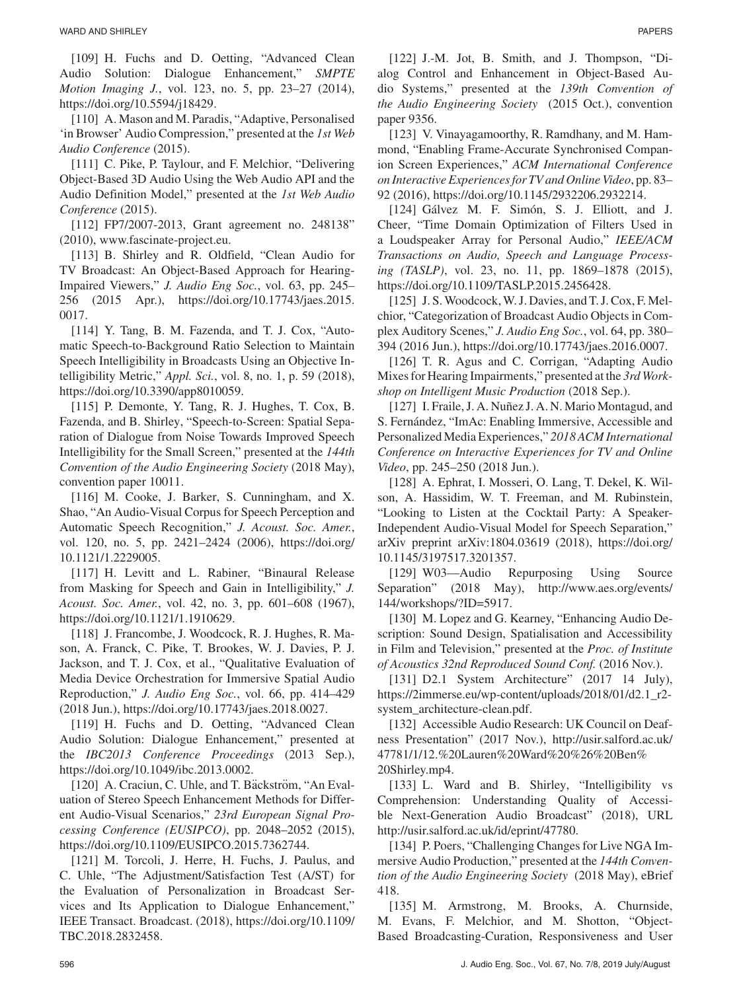[109] H. Fuchs and D. Oetting, "Advanced Clean Audio Solution: Dialogue Enhancement," *SMPTE Motion Imaging J.*, vol. 123, no. 5, pp. 23–27 (2014), https://doi.org/10.5594/j18429.

[110] A. Mason and M. Paradis, "Adaptive, Personalised 'in Browser' Audio Compression," presented at the *1st Web Audio Conference* (2015).

[111] C. Pike, P. Taylour, and F. Melchior, "Delivering Object-Based 3D Audio Using the Web Audio API and the Audio Definition Model," presented at the *1st Web Audio Conference* (2015).

[112] FP7/2007-2013, Grant agreement no. 248138" (2010), www.fascinate-project.eu.

[113] B. Shirley and R. Oldfield, "Clean Audio for TV Broadcast: An Object-Based Approach for Hearing-Impaired Viewers," *J. Audio Eng Soc.*, vol. 63, pp. 245– 256 (2015 Apr.), https://doi.org/10.17743/jaes.2015. 0017.

[114] Y. Tang, B. M. Fazenda, and T. J. Cox, "Automatic Speech-to-Background Ratio Selection to Maintain Speech Intelligibility in Broadcasts Using an Objective Intelligibility Metric," *Appl. Sci.*, vol. 8, no. 1, p. 59 (2018), https://doi.org/10.3390/app8010059.

[115] P. Demonte, Y. Tang, R. J. Hughes, T. Cox, B. Fazenda, and B. Shirley, "Speech-to-Screen: Spatial Separation of Dialogue from Noise Towards Improved Speech Intelligibility for the Small Screen," presented at the *144th Convention of the Audio Engineering Society* (2018 May), convention paper 10011.

[116] M. Cooke, J. Barker, S. Cunningham, and X. Shao, "An Audio-Visual Corpus for Speech Perception and Automatic Speech Recognition," *J. Acoust. Soc. Amer.*, vol. 120, no. 5, pp. 2421–2424 (2006), https://doi.org/ 10.1121/1.2229005.

[117] H. Levitt and L. Rabiner, "Binaural Release from Masking for Speech and Gain in Intelligibility," *J. Acoust. Soc. Amer.*, vol. 42, no. 3, pp. 601–608 (1967), https://doi.org/10.1121/1.1910629.

[118] J. Francombe, J. Woodcock, R. J. Hughes, R. Mason, A. Franck, C. Pike, T. Brookes, W. J. Davies, P. J. Jackson, and T. J. Cox, et al., "Qualitative Evaluation of Media Device Orchestration for Immersive Spatial Audio Reproduction," *J. Audio Eng Soc.*, vol. 66, pp. 414–429 (2018 Jun.), https://doi.org/10.17743/jaes.2018.0027.

[119] H. Fuchs and D. Oetting, "Advanced Clean Audio Solution: Dialogue Enhancement," presented at the *IBC2013 Conference Proceedings* (2013 Sep.), https://doi.org/10.1049/ibc.2013.0002.

 $[120]$  A. Craciun, C. Uhle, and T. Bäckström, "An Evaluation of Stereo Speech Enhancement Methods for Different Audio-Visual Scenarios," *23rd European Signal Processing Conference (EUSIPCO)*, pp. 2048–2052 (2015), https://doi.org/10.1109/EUSIPCO.2015.7362744.

[121] M. Torcoli, J. Herre, H. Fuchs, J. Paulus, and C. Uhle, "The Adjustment/Satisfaction Test (A/ST) for the Evaluation of Personalization in Broadcast Services and Its Application to Dialogue Enhancement," IEEE Transact. Broadcast. (2018), https://doi.org/10.1109/ TBC.2018.2832458.

[122] J.-M. Jot, B. Smith, and J. Thompson, "Dialog Control and Enhancement in Object-Based Audio Systems," presented at the *139th Convention of the Audio Engineering Society* (2015 Oct.), convention paper 9356.

[123] V. Vinayagamoorthy, R. Ramdhany, and M. Hammond, "Enabling Frame-Accurate Synchronised Companion Screen Experiences," *ACM International Conference on Interactive Experiences for TV and Online Video*, pp. 83– 92 (2016), https://doi.org/10.1145/2932206.2932214.

 $[124]$  Gálvez M. F. Simón, S. J. Elliott, and J. Cheer, "Time Domain Optimization of Filters Used in a Loudspeaker Array for Personal Audio," *IEEE/ACM Transactions on Audio, Speech and Language Processing (TASLP)*, vol. 23, no. 11, pp. 1869–1878 (2015), https://doi.org/10.1109/TASLP.2015.2456428.

[125] J. S. Woodcock, W. J. Davies, and T. J. Cox, F. Melchior, "Categorization of Broadcast Audio Objects in Complex Auditory Scenes," *J. Audio Eng Soc.*, vol. 64, pp. 380– 394 (2016 Jun.), https://doi.org/10.17743/jaes.2016.0007.

[126] T. R. Agus and C. Corrigan, "Adapting Audio Mixes for Hearing Impairments," presented at the *3rd Workshop on Intelligent Music Production* (2018 Sep.).

[127] I. Fraile, J. A. Nuñez J. A. N. Mario Montagud, and S. Fernández, "ImAc: Enabling Immersive, Accessible and Personalized Media Experiences," *2018 ACM International Conference on Interactive Experiences for TV and Online Video*, pp. 245–250 (2018 Jun.).

[128] A. Ephrat, I. Mosseri, O. Lang, T. Dekel, K. Wilson, A. Hassidim, W. T. Freeman, and M. Rubinstein, "Looking to Listen at the Cocktail Party: A Speaker-Independent Audio-Visual Model for Speech Separation," arXiv preprint arXiv:1804.03619 (2018), https://doi.org/ 10.1145/3197517.3201357.

[129] W03—Audio Repurposing Using Source Separation" (2018 May), http://www.aes.org/events/ 144/workshops/?ID=5917.

[130] M. Lopez and G. Kearney, "Enhancing Audio Description: Sound Design, Spatialisation and Accessibility in Film and Television," presented at the *Proc. of Institute of Acoustics 32nd Reproduced Sound Conf.* (2016 Nov.).

[131] D2.1 System Architecture" (2017 14 July), https://2immerse.eu/wp-content/uploads/2018/01/d2.1\_r2 system\_architecture-clean.pdf.

[132] Accessible Audio Research: UK Council on Deafness Presentation" (2017 Nov.), http://usir.salford.ac.uk/ 47781/1/12.%20Lauren%20Ward%20%26%20Ben% 20Shirley.mp4.

[133] L. Ward and B. Shirley, "Intelligibility vs Comprehension: Understanding Quality of Accessible Next-Generation Audio Broadcast" (2018), URL http://usir.salford.ac.uk/id/eprint/47780.

[134] P. Poers, "Challenging Changes for Live NGA Immersive Audio Production," presented at the *144th Convention of the Audio Engineering Society* (2018 May), eBrief 418.

[135] M. Armstrong, M. Brooks, A. Churnside, M. Evans, F. Melchior, and M. Shotton, "Object-Based Broadcasting-Curation, Responsiveness and User